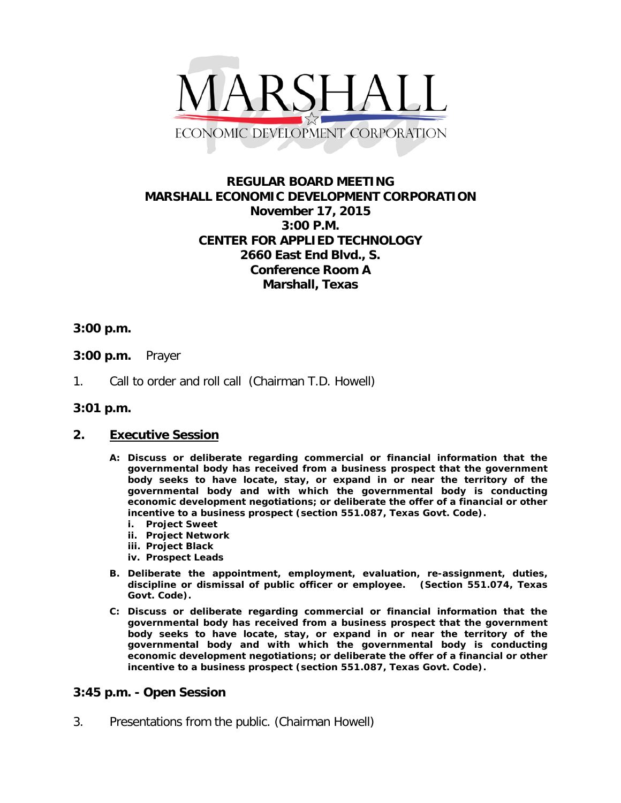

## **REGULAR BOARD MEETING MARSHALL ECONOMIC DEVELOPMENT CORPORATION November 17, 2015 3:00 P.M. CENTER FOR APPLIED TECHNOLOGY 2660 East End Blvd., S. Conference Room A Marshall, Texas**

## **3:00 p.m.**

- **3:00 p.m.** Prayer
- 1. Call to order and roll call (Chairman T.D. Howell)
- **3:01 p.m.**

## **2. Executive Session**

- **A: Discuss or deliberate regarding commercial or financial information that the governmental body has received from a business prospect that the government body seeks to have locate, stay, or expand in or near the territory of the governmental body and with which the governmental body is conducting economic development negotiations; or deliberate the offer of a financial or other incentive to a business prospect (section 551.087, Texas Govt. Code).**
	- **i. Project Sweet**
	- **ii. Project Network**
	- **iii. Project Black**
	- **iv. Prospect Leads**
- **B. Deliberate the appointment, employment, evaluation, re-assignment, duties, discipline or dismissal of public officer or employee. (Section 551.074, Texas Govt. Code).**
- **C: Discuss or deliberate regarding commercial or financial information that the governmental body has received from a business prospect that the government body seeks to have locate, stay, or expand in or near the territory of the governmental body and with which the governmental body is conducting economic development negotiations; or deliberate the offer of a financial or other incentive to a business prospect (section 551.087, Texas Govt. Code).**

## **3:45 p.m. - Open Session**

3. Presentations from the public. (Chairman Howell)